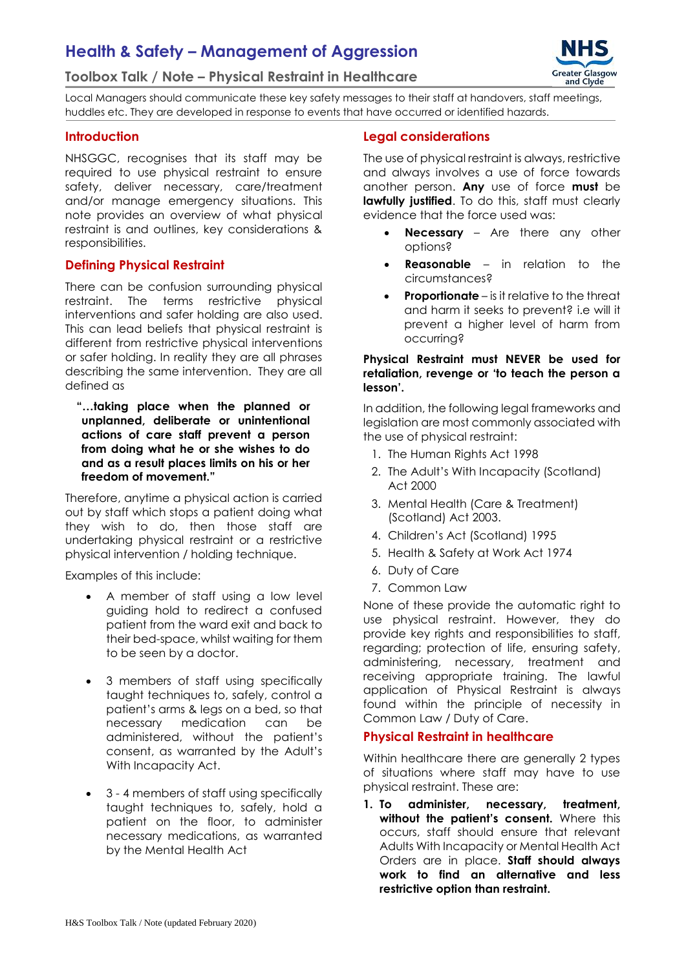# **Health & Safety – Management of Aggression**

#### **Toolbox Talk / Note – Physical Restraint in Healthcare**



Local Managers should communicate these key safety messages to their staff at handovers, staff meetings, huddles etc. They are developed in response to events that have occurred or identified hazards.

#### **Introduction**

NHSGGC, recognises that its staff may be required to use physical restraint to ensure safety, deliver necessary, care/treatment and/or manage emergency situations. This note provides an overview of what physical restraint is and outlines, key considerations & responsibilities.

#### **Defining Physical Restraint**

There can be confusion surrounding physical restraint. The terms restrictive physical interventions and safer holding are also used. This can lead beliefs that physical restraint is different from restrictive physical interventions or safer holding. In reality they are all phrases describing the same intervention. They are all defined as

**"…taking place when the planned or unplanned, deliberate or unintentional actions of care staff prevent a person from doing what he or she wishes to do and as a result places limits on his or her freedom of movement."**

Therefore, anytime a physical action is carried out by staff which stops a patient doing what they wish to do, then those staff are undertaking physical restraint or a restrictive physical intervention / holding technique.

Examples of this include:

- A member of staff using a low level guiding hold to redirect a confused patient from the ward exit and back to their bed-space, whilst waiting for them to be seen by a doctor.
- 3 members of staff using specifically taught techniques to, safely, control a patient's arms & legs on a bed, so that necessary medication can be administered, without the patient's consent, as warranted by the Adult's With Incapacity Act.
- 3 4 members of staff using specifically taught techniques to, safely, hold a patient on the floor, to administer necessary medications, as warranted by the Mental Health Act

#### **Legal considerations**

The use of physical restraint is always, restrictive and always involves a use of force towards another person. **Any** use of force **must** be **lawfully justified**. To do this, staff must clearly evidence that the force used was:

- **Necessary** Are there any other options?
- **Reasonable** in relation to the circumstances?
- **Proportionate** is it relative to the threat and harm it seeks to prevent? i.e will it prevent a higher level of harm from occurring?

#### **Physical Restraint must NEVER be used for retaliation, revenge or 'to teach the person a lesson'.**

In addition, the following legal frameworks and legislation are most commonly associated with the use of physical restraint:

- 1. The Human Rights Act 1998
- 2. The Adult's With Incapacity (Scotland) Act 2000
- 3. Mental Health (Care & Treatment) (Scotland) Act 2003.
- 4. Children's Act (Scotland) 1995
- 5. Health & Safety at Work Act 1974
- 6. Duty of Care
- 7. Common Law

None of these provide the automatic right to use physical restraint. However, they do provide key rights and responsibilities to staff, regarding; protection of life, ensuring safety, administering, necessary, treatment and receiving appropriate training. The lawful application of Physical Restraint is always found within the principle of necessity in Common Law / Duty of Care.

#### **Physical Restraint in healthcare**

Within healthcare there are generally 2 types of situations where staff may have to use physical restraint. These are:

**1. To administer, necessary, treatment, without the patient's consent.** Where this occurs, staff should ensure that relevant Adults With Incapacity or Mental Health Act Orders are in place. **Staff should always work to find an alternative and less restrictive option than restraint.**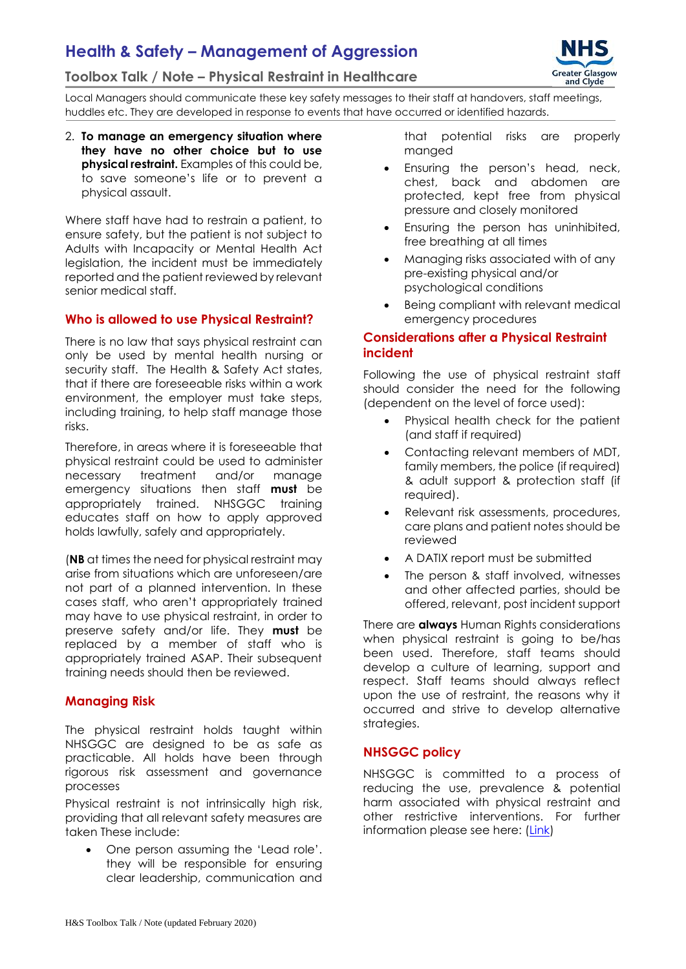# **Health & Safety – Management of Aggression**





Local Managers should communicate these key safety messages to their staff at handovers, staff meetings, huddles etc. They are developed in response to events that have occurred or identified hazards.

2. **To manage an emergency situation where they have no other choice but to use physical restraint.** Examples of this could be, to save someone's life or to prevent a physical assault.

Where staff have had to restrain a patient, to ensure safety, but the patient is not subject to Adults with Incapacity or Mental Health Act legislation, the incident must be immediately reported and the patient reviewed by relevant senior medical staff.

#### **Who is allowed to use Physical Restraint?**

There is no law that says physical restraint can only be used by mental health nursing or security staff. The Health & Safety Act states, that if there are foreseeable risks within a work environment, the employer must take steps, including training, to help staff manage those risks.

Therefore, in areas where it is foreseeable that physical restraint could be used to administer necessary treatment and/or manage emergency situations then staff **must** be appropriately trained. NHSGGC training educates staff on how to apply approved holds lawfully, safely and appropriately.

(**NB** at times the need for physical restraint may arise from situations which are unforeseen/are not part of a planned intervention. In these cases staff, who aren't appropriately trained may have to use physical restraint, in order to preserve safety and/or life. They **must** be replaced by a member of staff who is appropriately trained ASAP. Their subsequent training needs should then be reviewed.

#### **Managing Risk**

The physical restraint holds taught within NHSGGC are designed to be as safe as practicable. All holds have been through rigorous risk assessment and governance processes

Physical restraint is not intrinsically high risk, providing that all relevant safety measures are taken These include:

 One person assuming the 'Lead role'. they will be responsible for ensuring clear leadership, communication and

that potential risks are properly manged

- Ensuring the person's head, neck, chest, back and abdomen are protected, kept free from physical pressure and closely monitored
- Ensuring the person has uninhibited, free breathing at all times
- Managing risks associated with of any pre-existing physical and/or psychological conditions
- Being compliant with relevant medical emergency procedures

#### **Considerations after a Physical Restraint incident**

Following the use of physical restraint staff should consider the need for the following (dependent on the level of force used):

- Physical health check for the patient (and staff if required)
- Contacting relevant members of MDT, family members, the police (if required) & adult support & protection staff (if required).
- Relevant risk assessments, procedures, care plans and patient notes should be reviewed
- A DATIX report must be submitted
- The person & staff involved, witnesses and other affected parties, should be offered, relevant, post incident support

There are **always** Human Rights considerations when physical restraint is going to be/has been used. Therefore, staff teams should develop a culture of learning, support and respect. Staff teams should always reflect upon the use of restraint, the reasons why it occurred and strive to develop alternative strategies.

### **NHSGGC policy**

NHSGGC is committed to a process of reducing the use, prevalence & potential harm associated with physical restraint and other restrictive interventions. For further information please see here: [\(Link\)](https://www.nhsggc.org.uk/working-with-us/hr-connect/health-safety/policies-guidance-documents-forms/violence-reduction-health-safety/)